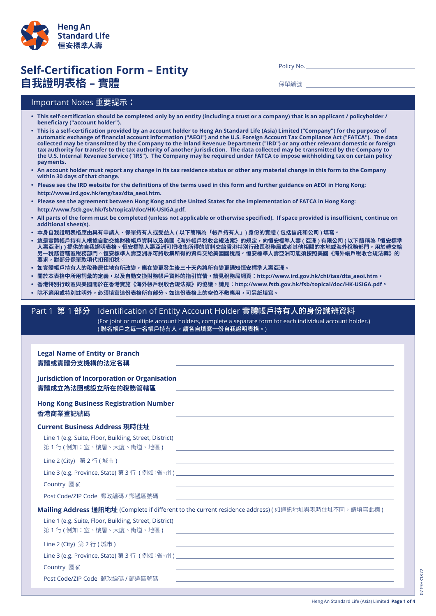

# **Self-Certification Form – Entity** C0 M70 Y100 K0 C100 M80 Y0 K35**自我證明表格 – 實體**

Policy No.

保單編號

### Important Notes 重要提示:

- . This self-certification should be completed only by an entity (including a trust or a company) that is an applicant / policyholder / **beneficiary ("account holder").**
- This is a self-certification provided by an account holder to Heng An Standard Life (Asia) Limited ("Company") for the purpose of automatic exchange of financial account information ("AEOI") and the U.S. Foreign Account Tax Compliance Act ("FATCA"). The data collected may be transmitted by the Company to the Inland Revenue Department ("IRD") or any other relevant domestic or foreign tax authority for transfer to the tax authority of another jurisdiction. The data collected may be transmitted by the Company to the U.S. Internal Revenue Service ("IRS"). The Company may be required under FATCA to impose withholding tax on certain policy **payments.**
- An account holder must report any change in its tax residence status or other any material change in this form to the Company **within 30 days of that change.**
- . Please see the IRD website for the definitions of the terms used in this form and further guidance on AEOI in Hong Kong:  **http://www.ird.gov.hk/eng/tax/dta\_aeoi.htm.**
- Please see the agreement between Hong Kong and the United States for the implementation of FATCA in Hong Kong:  **http://www.fstb.gov.hk/fsb/topical/doc/HK-USIGA.pdf.**
- . All parts of the form must be completed (unless not applicable or otherwise specified). If space provided is insufficient, continue on **additional sheet(s).**
- **• 本身自我證明表格應由具有申請人、保單持有人或受益人 ( 以下簡稱為「帳戶持有人」) 身份的實體 ( 包括信託和公司 ) 填寫。**
- **• 這是實體帳戶持有人根據自動交換財務帳戶資料以及美國《海外帳戶稅收合規法案》的規定,向恒安標準人壽 ( 亞洲 ) 有限公司 ( 以下簡稱為「恒安標準 人壽亞洲」) 提供的自我證明表格。恒安標準人壽亞洲可把收集所得的資料交給香港特別行政區稅務局或者其他相關的本地或海外稅務部門,用於轉交給 另一稅務管轄區稅務部門。恒安標準人壽亞洲亦可將收集所得的資料交給美國國稅局。恒安標準人壽亞洲可能須按照美國《海外帳戶稅收合規法案》的 要求,對部分保單款項代扣預扣稅。**
- 如實體帳戶持有人的稅務居住地有所改變,應在變更發生後三十天內將所有變更通知恒安標準人壽亞洲。
- **• 關於本表格中所用詞彙的定義,以及自動交換財務帳戶資料的指引詳情,請見稅務局網頁:http://www.ird.gov.hk/chi/tax/dta\_aeoi.htm。**
- **• 香港特別行政區與美國關於在香港實施《海外帳戶稅收合規法案》的協議,請見:http://www.fstb.gov.hk/fsb/topical/doc/HK-USIGA.pdf。**
- **• 除不適用或特別註明外,必須填寫這份表格所有部分。如這份表格上的空位不敷應用,可另紙填寫。**

# Part 1 第 1 部分 Identification of Entity Account Holder 實體帳戶持有人的身份識辨資料

(For joint or multiple account holders, complete a separate form for each individual account holder.) (聯名帳戶之每一名帳戶持有人,請各自填寫一份自我證明表格。)

| <b>Legal Name of Entity or Branch</b><br>實體或實體分支機構的法定名稱                              |                                                                                                                                                                                                                               |
|--------------------------------------------------------------------------------------|-------------------------------------------------------------------------------------------------------------------------------------------------------------------------------------------------------------------------------|
| <b>Jurisdiction of Incorporation or Organisation</b><br>實體成立為法團或設立所在的稅務管轄區           |                                                                                                                                                                                                                               |
| <b>Hong Kong Business Registration Number</b><br>香港商業登記號碼                            | the control of the control of the control of the control of the control of the control of the control of the control of the control of the control of the control of the control of the control of the control of the control |
| Current Business Address 現時住址                                                        |                                                                                                                                                                                                                               |
| Line 1 (e.g. Suite, Floor, Building, Street, District)<br>第 1 行 ( 例如:室、樓層、大廈、街道、地區 ) | <u> 1980 - Andrea Station, amerikansk politik (d. 1980)</u>                                                                                                                                                                   |
| Line 2 (City) 第2行(城市)                                                                | <u> 1989 - Andrea Stadt Britain, amerikansk fotograf i den stadt fotograf i den stadt fotograf i den stadt fotogr</u>                                                                                                         |
| Country 國家<br>Post Code/ZIP Code 郵政編碼 / 郵遞區號碼                                        |                                                                                                                                                                                                                               |
|                                                                                      | Mailing Address 通訊地址 (Complete if different to the current residence address) (如通訊地址與現時住址不同,請填寫此欄)                                                                                                                            |
| Line 1 (e.g. Suite, Floor, Building, Street, District)<br>第 1 行 ( 例如:室、樓層、大廈、街道、地區 ) |                                                                                                                                                                                                                               |
| Line 2 (City) 第 2 行 (城市)                                                             | <u> 1989 - Johann Stoff, amerikansk politiker (d. 1989)</u>                                                                                                                                                                   |
| Country 國家                                                                           |                                                                                                                                                                                                                               |
| Post Code/ZIP Code 郵政編碼 / 郵遞區號碼                                                      |                                                                                                                                                                                                                               |
|                                                                                      |                                                                                                                                                                                                                               |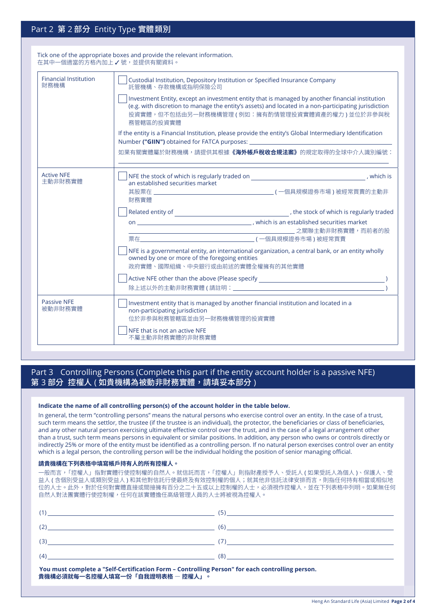## Part 2 第 2 部分 Entity Type 實體類別

| Tick one of the appropriate boxes and provide the relevant information.<br>在其中一個滴當的方格內加上 √號,並提供有關資料。 |                                                                                                                                                                                                                                                                       |  |  |
|------------------------------------------------------------------------------------------------------|-----------------------------------------------------------------------------------------------------------------------------------------------------------------------------------------------------------------------------------------------------------------------|--|--|
| <b>Financial Institution</b><br>財務機構                                                                 | Custodial Institution, Depository Institution or Specified Insurance Company<br>託管機構、存款機構或指明保險公司                                                                                                                                                                      |  |  |
|                                                                                                      | Investment Entity, except an investment entity that is managed by another financial institution<br>(e.g. with discretion to manage the entity's assets) and located in a non-participating jurisdiction<br>投資實體,但不包括由另一財務機構管理(例如:擁有酌情管理投資實體資產的權力)並位於非參與稅<br>務管轄區的投資實體 |  |  |
|                                                                                                      | If the entity is a Financial Institution, please provide the entity's Global Intermediary Identification<br>Number ("GIIN") obtained for FATCA purposes:                                                                                                              |  |  |
|                                                                                                      | 如果有關實體屬於財務機構,請提供其根據 <b>《海外帳戶稅收合規法案》</b> 的規定取得的全球中介人識別編號:                                                                                                                                                                                                              |  |  |
| <b>Active NFE</b><br>主動非財務實體                                                                         | $\sqrt{\phantom{a}}$ NFE the stock of which is regularly traded on $\sqrt{\phantom{a}}$ .<br>an established securities market<br>財務實體                                                                                                                                 |  |  |
|                                                                                                      |                                                                                                                                                                                                                                                                       |  |  |
|                                                                                                      |                                                                                                                                                                                                                                                                       |  |  |
|                                                                                                      | NFE is a governmental entity, an international organization, a central bank, or an entity wholly<br>owned by one or more of the foregoing entities<br>政府實體、國際組織、中央銀行或由前述的實體全權擁有的其他實體                                                                                  |  |  |
|                                                                                                      |                                                                                                                                                                                                                                                                       |  |  |
| <b>Passive NFE</b><br>被動非財務實體                                                                        | Investment entity that is managed by another financial institution and located in a<br>non-participating jurisdiction<br>位於非参與稅務管轄區並由另一財務機構管理的投資實體                                                                                                                    |  |  |
|                                                                                                      | NFE that is not an active NFE<br>不屬主動非財務實體的非財務實體                                                                                                                                                                                                                      |  |  |

### Part 3 Controlling Persons (Complete this part if the entity account holder is a passive NFE) 第 3 部分 控權人 (如貴機構為被動非財務實體,請填妥本部分)

#### **Indicate the name of all controlling person(s) of the account holder in the table below.**

In general, the term "controlling persons" means the natural persons who exercise control over an entity. In the case of a trust, such term means the settlor, the trustee (if the trustee is an individual), the protector, the beneficiaries or class of beneficiaries, and any other natural person exercising ultimate effective control over the trust, and in the case of a legal arrangement other than a trust, such term means persons in equivalent or similar positions. In addition, any person who owns or controls directly or indirectly 25% or more of the entity must be identified as a controlling person. If no natural person exercises control over an entity which is a legal person, the controlling person will be the individual holding the position of senior managing official.

#### **請貴機構在下列表格中填寫帳戶持有人的所有控權人。**

一般而言,「控權人」指對實體行使控制權的自然人。就信託而言,「控權人」則指財產授予人、受託人 ( 如果受託人為個人 )、保護人、受 益人 ( 含個別受益人或類別受益人 ) 和其他對信託行使最終及有效控制權的個人;就其他非信託法律安排而言,則指任何持有相當或相似地 位的人士。此外,對於任何對實體直接或間接擁有百分之二十五或以上控制權的人士,必須視作控權人,並在下列表格中列明。如果無任何 自然人對法團實體行使控制權,任何在該實體擔任高級管理人員的人士將被視為控權人。

| You must complete a "Self-Certification Form - Controlling Person" for each controlling person.<br>貴機構必須就每一名控權人填寫一份「自我證明表格 ― 控權人」。 |                   |  |
|------------------------------------------------------------------------------------------------------------------------------------|-------------------|--|
| $(4)$ (8)                                                                                                                          |                   |  |
|                                                                                                                                    | $(3)$ $(7)$       |  |
|                                                                                                                                    |                   |  |
|                                                                                                                                    | $(1)$ (1) (1) (5) |  |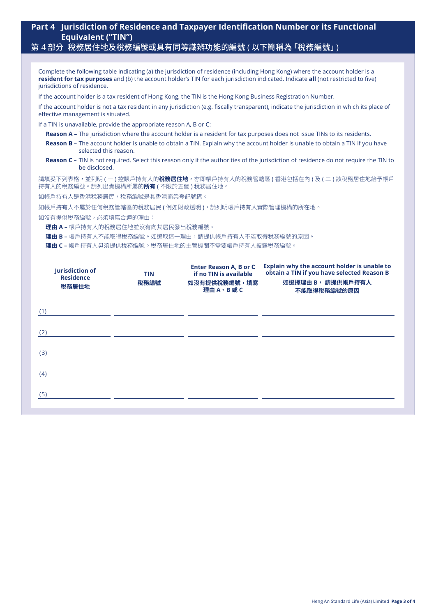# **Part 4 Jurisdiction of Residence and Taxpayer Identification Number or its Functional Equivalent ("TIN")**

# 第 4 部分 稅務居住地及稅務編號或具有同等識辨功能的編號 ( 以下簡稱為 「稅務編號」)

| Complete the following table indicating (a) the jurisdiction of residence (including Hong Kong) where the account holder is a<br>resident for tax purposes and (b) the account holder's TIN for each jurisdiction indicated. Indicate all (not restricted to five)<br>jurisdictions of residence. |            |                                                         |                                                                                                                               |  |
|---------------------------------------------------------------------------------------------------------------------------------------------------------------------------------------------------------------------------------------------------------------------------------------------------|------------|---------------------------------------------------------|-------------------------------------------------------------------------------------------------------------------------------|--|
| If the account holder is a tax resident of Hong Kong, the TIN is the Hong Kong Business Registration Number.                                                                                                                                                                                      |            |                                                         |                                                                                                                               |  |
| If the account holder is not a tax resident in any jurisdiction (e.g. fiscally transparent), indicate the jurisdiction in which its place of<br>effective management is situated.                                                                                                                 |            |                                                         |                                                                                                                               |  |
| If a TIN is unavailable, provide the appropriate reason A, B or C:                                                                                                                                                                                                                                |            |                                                         |                                                                                                                               |  |
|                                                                                                                                                                                                                                                                                                   |            |                                                         | Reason A - The jurisdiction where the account holder is a resident for tax purposes does not issue TINs to its residents.     |  |
| selected this reason.                                                                                                                                                                                                                                                                             |            |                                                         | Reason B - The account holder is unable to obtain a TIN. Explain why the account holder is unable to obtain a TIN if you have |  |
| Reason C - TIN is not required. Select this reason only if the authorities of the jurisdiction of residence do not require the TIN to<br>be disclosed.                                                                                                                                            |            |                                                         |                                                                                                                               |  |
| 請填妥下列表格,並列明 ( 一 ) 控賬戶持有人的 <b>稅務居住地</b> ,亦即帳戶持有人的稅務管轄區 ( 香港包括在內 ) 及 ( 二 ) 該稅務居住地給予帳戶<br>持有人的稅務編號。請列出貴機構所屬的 <b>所有</b> ( 不限於五個 ) 稅務居住地。                                                                                                                                                              |            |                                                         |                                                                                                                               |  |
| 如帳戶持有人是香港稅務居民,稅務編號是其香港商業登記號碼。                                                                                                                                                                                                                                                                     |            |                                                         |                                                                                                                               |  |
|                                                                                                                                                                                                                                                                                                   |            | 如帳戶持有人不屬於任何稅務管轄區的稅務居民(例如財政透明),請列明帳戶持有人實際管理機構的所在地。       |                                                                                                                               |  |
| 如沒有提供稅務編號,必須填寫合適的理由:                                                                                                                                                                                                                                                                              |            |                                                         |                                                                                                                               |  |
| 理由 A - 帳戶持有人的稅務居住地並沒有向其居民發出稅務編號。                                                                                                                                                                                                                                                                  |            |                                                         |                                                                                                                               |  |
|                                                                                                                                                                                                                                                                                                   |            | 理由 B - 帳戶持有人不能取得稅務編號。如選取這一理由,請提供帳戶持有人不能取得稅務編號的原因。       |                                                                                                                               |  |
|                                                                                                                                                                                                                                                                                                   |            | <b>理由 C –</b> 帳戶持有人毋須提供稅務編號。稅務居住地的主管機關不需要帳戶持有人披露稅務編號。   |                                                                                                                               |  |
|                                                                                                                                                                                                                                                                                                   |            |                                                         |                                                                                                                               |  |
| <b>Jurisdiction of</b>                                                                                                                                                                                                                                                                            | <b>TIN</b> | <b>Enter Reason A, B or C</b><br>if no TIN is available | Explain why the account holder is unable to<br>obtain a TIN if you have selected Reason B                                     |  |
| <b>Residence</b><br>稅務居住地                                                                                                                                                                                                                                                                         | 稅務編號       | <b>如沒有提供稅務編號,填寫</b>                                     | 如選擇理由 B, 請提供帳戶持有人                                                                                                             |  |
|                                                                                                                                                                                                                                                                                                   |            | 理由A、B或C                                                 | 不能取得稅務編號的原因                                                                                                                   |  |
|                                                                                                                                                                                                                                                                                                   |            |                                                         |                                                                                                                               |  |
| (1)                                                                                                                                                                                                                                                                                               |            |                                                         |                                                                                                                               |  |
|                                                                                                                                                                                                                                                                                                   |            |                                                         |                                                                                                                               |  |
| (2)                                                                                                                                                                                                                                                                                               |            |                                                         |                                                                                                                               |  |
|                                                                                                                                                                                                                                                                                                   |            |                                                         |                                                                                                                               |  |
| (3)                                                                                                                                                                                                                                                                                               |            |                                                         |                                                                                                                               |  |
|                                                                                                                                                                                                                                                                                                   |            |                                                         |                                                                                                                               |  |
| (4)                                                                                                                                                                                                                                                                                               |            |                                                         |                                                                                                                               |  |
|                                                                                                                                                                                                                                                                                                   |            |                                                         |                                                                                                                               |  |
| (5)                                                                                                                                                                                                                                                                                               |            |                                                         |                                                                                                                               |  |
|                                                                                                                                                                                                                                                                                                   |            |                                                         |                                                                                                                               |  |